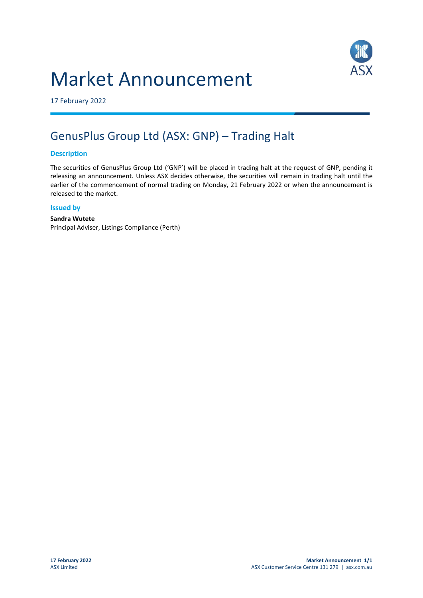# Market Announcement



17 February 2022

## GenusPlus Group Ltd (ASX: GNP) – Trading Halt

#### **Description**

The securities of GenusPlus Group Ltd ('GNP') will be placed in trading halt at the request of GNP, pending it releasing an announcement. Unless ASX decides otherwise, the securities will remain in trading halt until the earlier of the commencement of normal trading on Monday, 21 February 2022 or when the announcement is released to the market.

#### **Issued by**

### **Sandra Wutete**

Principal Adviser, Listings Compliance (Perth)